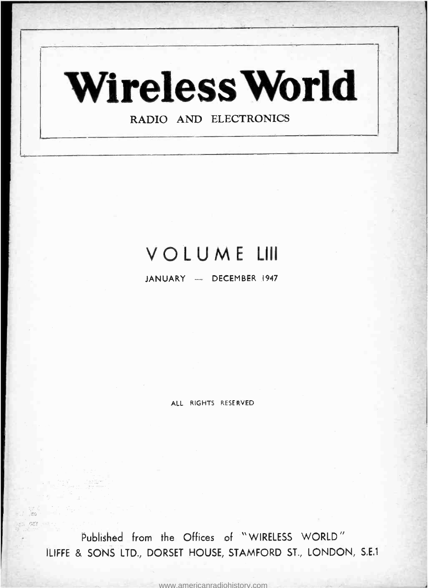

# VOLUME LIII

JANUARY - DECEMBER 1947

ALL RIGHTS RESERVED

Published from the Offices of " WIRELESS WORLD " ILIFFE & SONS LTD., DORSET HOUSE, STAMFORD ST., LONDON, S,E.1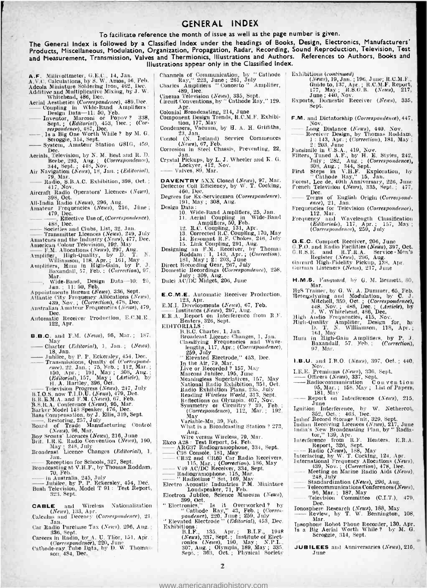### GENERAL INDEX

### To facilitate reference the month of issue as well as the page number is given.

The General Index is followed by a Classified Index under the headings of Books, Design, Electronics, Manufacturers' Products, Miscellaneous, Modulation, Organization, Propagation, Radar, Recording, Sound Reproduction, Television, Test and Measurement, Transmission, Valves and Thermionics, Illustrations and Authors. References to Authors, Books and Illustrations appear only in the Classified Index.

- **A.F.** Millivoltmeter, G.E.C., 14, Jan. C.<br>A.V.C. Calculations, by S. W. Amos, 46, Neb.<br>Adeola Miniature Soldering Iron, 462, Dec.<br>Additive and Multiplicative Mixing, by J. W.<br>Aerial Aesthetical, 486, Dec.<br>Aerial Aestheti
- 
- 
- 
- 
- Aerials, Television, by N. M. Best and R. D.<br>
Beebe, 293, Aug. ; (Correspondence),<br>
344, Sept. ; 448, Nov.<br>
Air Navigation (News), 18, Jan. ; (Editorial),<br>
79, Mar.
- Radio, S.B.A.C. Exhibition, 398, Oct. ; 417, Nov.
- Aircraft Radio Operators' Licences (News),

398, Oct. All -India Radio (News), 296, Aug.

- Amateur Frequencies (News), 298, Oct.<br>
All-India Radio (News), 298, Aug.<br>
Amateur Frequencies (News), 216, June ;<br>  $\begin{bmatrix}\n479, \text{Bective Use of, (Correspondence)} \\
188, \text{Dec.} \\
188, \text{Dec.} \\
\end{bmatrix}$ Amateur Frequencies (News), 216, June ;<br>  $\overline{479}$ , Dec.<br>  $\overline{488}$ , Dec.<br>
Bocieties and Clubs, List, 32, Jan.<br>
Societies and Clubs, List, 32, Jan.<br>
Transmitter Licences (News), 249, July<br>
Amateurs and the Industry (New
	-
- 
- 

Societies and Clubs, List, 32, Jan.<br>
Transmitter Licences (News), 249, July<br>
Amateurs and the Industry (News), 477, Dec.<br>
American Colour Television, 192, May<br>
F.M. Allocations (News), 297, Aug.<br>
Amplifter, High-Quality,

- 
- 
- Amplifier, High-Quality, by D. T. N.<br>
Williamson, 118, Apr.; 161, May -<br>
Amplifiers, Hum in High-Gain, by P. J.<br>
Baxandall, 57, Feb. : (Correction), 97, Dide -Band, Design Data—10: 25,<br>
Mar. (Wide -Band, Design Data—10: 25

Jan. 11: 50, Feb. Appointments Bureau (News), 336, Sept. Atlantic City Frequency Allocations (News), 439, Nov. ; (Correction), 478, Dec. Australian Amateur Frequencies (Neves), 479,

- Dec.<br>
Automatic Receiver Production, E.C.M.E.. E<br>
122, Apr.
- **B.B.C.** and F.M. (News), 05, Mar.; 187,<br>  $\begin{array}{ll}\n\text{May} \\
\text{Chapter (Editional), 1, Jan.}; \quad (News), \\
\text{18, Jan.} \\
\end{array}$ **B.B.C.** and **F.M.** (*News*), 95, Mar.; 187,<br>
May<br>
Charter (*Editorial*), 1, Jan.; (*News*),<br>
18, Jan.<br>
— Jubilee, by P. P. Eckersley, 454, Dec.<br>
— Transmissions, Qualty of (*Correspond-*
- 
- ence), 22, Jan. ; 75, Feb. ; 112, Mar. ; 160, Apr. ; 191, May ; 308, Aug. ;  $B\bar{B}$ , Aug. ;  $B\bar{B}$ ,  $\bar{B}$ ,  $\bar{B}$ ,  $\bar{B}$ ,  $\bar{B}$ ,  $\bar{B}$ ,  $\bar{B}$ ,  $\bar{B}$ ,  $\bar{B}$ ,  $\bar{B}$ ,  $\bar{B}$ ,  $\bar{B}$ ,  $\bar{B}$ ,  $\bar{B}$ ,
- 
- 
- 
- 
- 
- 
- 
- 
- Restoring, 257, July Board of Trade Manufacturing Control (News), 96, Mar.<br>
Boy Scouts' Licences (News), 216, June Brit. I.R.E. Radio Convention (News), 190, May ; 248, July Broadcast Licence Changes (Editorial), 1, Brit. LR.E. Rad<br>Brit. LR.E. Rad<br>May : 248<br>Broadcast Licen<br>Meception f<br>Broadcasting at N
- 
- Reception for Schools, 327, Sept. Broadcasting at V.H.F., by Thomas Roddam,
- 
- 
- $\frac{3}{3}$ <br>- Reception for Schools, 327, Sept.<br>Broadcasting at V.H.F., by Thomas Roddam,<br> $\frac{70}{70}$ , Feb.<br>- in Australia, 245, July<br>- in Australia, 245, July<br>Bush Television, Model T 91 : Test Report, In Australia, 245, July<br>Inbilee, by P. P. Eckersley, 454, Dec.<br>Bush Television, Model T 91 : Test Report, 323, Sept.
- CABLE and Wireless Nationalization (*News*), 133, Apr.<br>
Calculus and Decency (*Correspondence*), 21. Jan.
- 
- Car Radio Purchase Tax (News), 296, Aug. ; 336, Sept.<br>Careers in Radio, by A. U. Thor, 151, Apr. ;<br>Careers in Radio, by A. U. Thor, 151, Apr. ;
- Cathode- ray.Tube Data, by D. W. Thgmas- son, 484, Dec.
- Channels of Communication, by " Cathode Ray," 223, June ; 261, July Princes Amplifiers (Charles Amplifiers 189, Dec. 189, Dec. 189, Dec. Circuit Conventions, by " Cathode Ray," 129, E
- 
- 
- 
- Apr. Colonial Broadcasting, 214, June Component Design Trends, R.C.M.F. Exhibi-tion, 177, May Condensers Vacuum, by H. A. H. Griffiths,
- Pan. (N. Ireland) Service Commences<br>
(News), 67, Feb.<br>
Corrosion in Steel Chassis, Preventing, 22,
- 
- Jan. Crystal Pickups, by L. J. Wheeler and K. G. Lockyer, 412, Nov. -- Valves, 89, Mar.
- 
- **DAVENTRY** 5XX Closed (News), 97, Mar.  $\begin{bmatrix} F & F \end{bmatrix}$  Deflector Coil Efficiency, by W. T. Cocking,
- 460, Dec. Degrees for Ex- Servicemen (Correspondence), 191, May ; 308, Aug.
	-
- Design Data : 10. Wide -Band Amplifiers, 25, Jan. 11. Aerial Coupling in Wide -Band p
	-
	-
	-
	-
- Ampliffers, 50, Feb.<br>
12. R.C. Coupling, 131, Apr.<br>
13. Corrected R.C. Coupling, 170, May<br>
14. Resonant R.F. Chokes, 246, 3uly<br>
15. Link Coupling, 291, Aug.<br>
15. Link Coupling, 291, Aug.<br>
Designing an F.M. Receiver, by Tho
	-
- 
- 
- E.C.M.E. Automatic Receiver Production, 123, Apr. 123, Apr.<br>
E.M.I. Developments (News), 67, Feb.<br>
Institutes (News), 297, Aug.<br>
E.R.A. Report on Interference from R.F.
- 
- -
	-
- Heaters, 326, Sept. EDITORIALS : B.B.C. Charter, 1, Jan.
	- Broadcast Licence Changes, 1, Jan. [1]<br>Classifying Frequencies and Wave-<br>lengths, 117, Apr.; (Correspondence),
		-
	- -
		-
	-
	- 259, July " Elevated Electrode," 453, Dec.<br>
	In the Air, 79, Mar. Ilive or Recorded ? 157, May<br>
	Marconi Jubilee, 195, June<br>
	Marconi Jubilee, 195, June 195, May<br>
	National Radio Exhibition, 351, Oct.
		-
	-
	-
	- Radio Exhibition Plans, 235, July Reading *Wireless World*, 313, Sept.<br>Reflections on Olympia. 407, Nov.<br>Symmetry or Circuitry ? 39, Feb. ;<br>(Correspondence), 112, Mar. ; 192,
	- May Variable -Mu, 39, Feb. What is a Broadcasting Station ? 273.
- Aug. Wire versus Wireless, 79, Mar. Vandronin, 39, rep.<br>What is a Broadcasting Station<br>Mire versus Wireless, 79, Mar.<br>Ekco A28 : Test Report, 54, Feb.<br>— ARG37 Radiogramophone, 334, 5<br>— C36 Console, 181, May<sub>port</sub>, 1959
	-
- 
- 
- ARG37 Radiogramophone, 334, Sept.<br>C36 Console, 181, May<br>CR32 and CR60 Car Radio Receivers, In<br>115, Mar.; (Correction), 186, May<br>V49 AC/DC Receiver, 334, Sept.<br>Radiogramophone, 115, Mar.
- 
- 
- 
- 
- " Radiotime " Set, 169, May Electro Acoustic Industries P.M. Miniature Loudspeaker, 71, Feb. Electron Jubilee, Science Museum (News), 399, Oct. " Electronics," Is it Overworked ? by " Cathode Ray," 43, Feb. ; (Corres-pondence), 220, Tune ; 259, July " Elevated Electrode " (Editorial), 453, Dec. Exhibitions
- - B.I.F., 135, Apr. ; B.I.F., 1948 <sup>18</sup><br>(*News*), 337, Sept. ; Institute of Elect-<br>ronics (*News*), 190, May ; N.P.L.,<br>307, Aug. ; Olympia, 189, May ; 335. J<br>Sept. ; 363, Oct. ; Physical Society

2

<www.americanradiohistory.com>

- Exhibitions (continued)<br>
(News), 19, Jan. ; 196, Jan. ; R.C.M.F.,<br>
Guide to, 137, Apr. ; R.C.M.F. Report,<br>
177, May ; R.S.O.B. (News), 217,<br>
June ; 440, Nov.<br>
Exports, Domestic Receiver (News), 335,
- Sept.
- **F.M.** and Dictatorship (*Correspondence*), 447,<br>
Now,<br>
Now,<br>
Leceiver Design, by Thomas Roddam,<br>
1:143, Apr.; (*Correction*), 181, May;<br>
2:203, June<br>
Facsimile in U.S.A., 419, Nov.<br>
Filters, Tuned A.F., by H. B. Styles,

308, Aug. ; 344, Sept.<br>First Steps in V.H.F. Exploration, by<br>"Cathode Ray," 15, Jan. 226, June<br>French Television (*News*), 335, Sept. ; 477,

Frequencies for Television (Correspondence),<br>
112, Mar.<br>
Frequency and Wavelength Classification<br>
(Editorials), 117, Apr. ; 157, May ;<br>
(Correspondence), 259, July

G.E.C. Compact Receiver, 206, June<br>G.R.O. and Radio Facilities (News), 397, Oct. 0.<br>G.R.S.E. and R.T.R.A. Service - Men's<br>Register (News), 296, Aug.<br>Garrard High-Fidelity Pickup, 138, Apr.<br>German Listeners (News), 217, Jun

Mar. Mar. by G. W. A. Dummer, 65, Feb.<br>
H2S Trainer, by G. W. A. Dummer, 65, Feb.<br>
Hetengdyning and Modulation, by C. J.<br>
Mitchell, 539, Oct.; (*Correspondence*),<br>
448. Nov.; 488, Dec.; (*Article*), by<br>
J. W. Whitehead, 48

1.B.U. and I.B.O. (News), 397, Oct. : 440,<br>Nov.<br>I.E.E. Premiums (News), 336, Sept. 1.B.U. and I.B.O. (News), 397, Oct. ; 440,<br>
R.E. Premiums (News), 336, Sept.<br>
— Officers (News), 337, Sept.<br>
— Radiocommunication C on v en ti on<br>
95, May. ; 158, May ; List of Papers.<br>
181, May Report on Interference (Ne

June<br>
Ignition Interference, by W. Nethercot,<br>
1910 Ignition Islam (1921), and the section of Record Storage Unit, 329, Sept.<br>
Indian Receiving Liecences (N2002), 217, June<br>
Indian New Broadcasting Plan, by "Radia-<br>
tor,"

248, July Standardization (News), 296, Aug.<br>Telecommunications Conferences (News), 96, Mar. ; 187, May - Television Committee (C.I.T.), 479,

96, Mar.; 187, May<br>  $\begin{array}{l} 96, \text{Mar.}; 187, \text{May} \\ \text{Television} \end{array}$  Committee (C.I.T.), 479, Dec.<br>
Ionosphere Research (News), 188, May<br>  $\begin{array}{l} \text{Dec.} \\ \text{Man.} \end{array}$  News, by T. W. Bennington, 108,

Mar. 1psophone Robot Phone Recorder, 130, Apr. Is a Big Aerial Worth While ? by M. G. Scroggie, 314, Sept.

JUBILEES and Anniversaries (News), 215.

 $H.M.S.$  l'anguard, by G. M. Bennett, 80,

Hum in High-Gain Amplifiers, by P. J.<br>Baxandall, 57, Feb. ; (Correction),

97, Mar.

De**c**.

June

Dec.<br>
------ Terms of English Origin (Correspond-<br>
ence), 21, Jan.<br>
Frequencies for Television (Correspondence),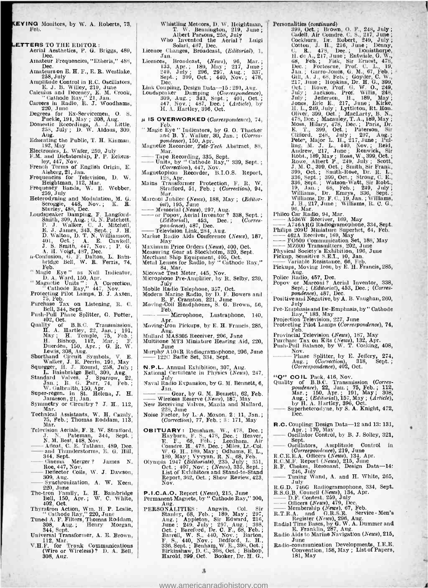- VINO Monitors, by W. A. Roberts, 73, Feb.
- 
- **LETTERS** TO THE EDITOR :<br>Aerial Aesthetics, P. G. Briggs, 489,
	- Amateur Frequencies, "Etheris," 488, Amateur Frequencies, "Etheris," 488,<br>Dec. Dec. 13<br>Amateurs on E. H. F., E. R. Westlake, 238, July<br>258, July
	-
	- 258, July<br>
	Amplitude Control in R.C. Oscillators,<br>
	E. J. B. Willey, 219, June<br>
	Calculus and Decency, E. M. Crook,<br>
	Cathode Ray," 21, Jan.
	- Careers in Radio, R. J. Woodhams, 220, June
	-
	- Degrees for Ex-Servicemen, O. S.<br>Puckle, 191, May ; 308, Aug.<br>Domestic Recordings, A. J. Little, 258, July ; D. W. Aldous, 309,
	- Aug. Educating the Public, T. H. Kinman,
	-
	- 192, May<br>Electronics, L. Wafer, 259, July<br>F.M. and Dictatorship, P. P. Eckers<br>- ley, 447, Nov.
	-
	-
	- French Terms of English Origin, E.<br>
	Aisberg, 21, Jan.<br>
	Frequencies for Television, D. W.<br>
	Heightman, 112, Mar.<br>
	Frequency Bands, W. E. Webber,<br>
	259, July<br>
	Heterodyning and Modulation, M. G.<br>
	Scroggie, 448, Nov.; K. R.
	-
	- Sturley, 488, Dec.<br>
	Loudspeaker Damping, F. Langford-<br>
	P. J. Walker, C. J. Michell,<br>
	P. J. Walker, C. J. Michell,<br>
	E. J. James, 343, Sept.; J. H.<br>
	D. Walton, D. T. N. Williamson,<br>
	401, Oct.; A. E. Gawkell,<br>
	J. S. Smith, 44
	- bridge Bell, W. R. Ferris, 74, Feb.
	-
	- " Magic Eye" as Null Indicator,<br>"D. A. Ward, 150, Apr. "<br>" Magnetic Units" : A Correction, " Cathode Ray," 447, Nov.
	- Protecting Pilot Lamps, B. J. Axien, 75, Feb.
	- Purchase Tax on Listening, R. C. Bell, 344, Sept.<br>Push-Pull Phase Splitter, G. Potter, Push-Pull Phase Splitter, G. Potter,
	-
	- Quality of B.B.C. Transmission, H. A. Hartley, 22, Jan. ; 191,<br>May ; H. Temple, 75, Feb. ; H.<br>H. Bishop, 112, Mar.; F. Muchelen, 150, Apr. ; G. R. W.<br>Lewis, 308, Aug. ; G. R. W.<br>Shorthand Circuit Symbols, V. E.
	-
	-
	- Walker, J. E. Perrin, 191, May<br>
	Squegger, H. J. Round, 258, July ;<br>
	Standard Valves, J. Sparrow, 22,<br>
	Standard Valves, J. Sparrow, 22,<br>
	Jan. ; R. G. Parr, 74, Feb. ;<br>
	W. Galbraith, 150, Apr.<br>
	Super-regen. in St. Helena, J.
	-
	- Mar.<br>Technical Assistants, W. H. Cazaly, 75, Feb.; Thomas Roddam, 113, Mar.
	-
	- Television Aerials, F. R. W. Strafford, J. N. Pateman 344, Sept. ; N. M. Best, 448, Nov. Afloat, C. E. Tatham, 489, Dec.
	- and Thunderstorms, E. G. Hill, S. B. G. Hill, 344, Sept. 344, Sept. 344, Sept. 344, Sept. Cinema Merger ? James N. 0.<br>
	Chinan Merger ? James N. B. G. Hill, S. Hill, S. Sept. Cinema Merger ? James N. 0. Andar, C. B. Taunan, 459, Dec.<br>
	and Thunderstorms, E. G. Hill,<br>
	344, Sept.<br>
	Chenna Merger? James N.<br>
	Roe, 447, Nov.<br>
	Deflector Coils, W. J. Dawson,<br>
	309, Aug.
	-
	- 309, Aug. Merger? James N.<br>
	1000, 447, Nov.<br>
	Dellector Coils, W. J. Dawson,<br>
	309, Aug.<br>
	309, Aug.<br>
	220, June n.
	-
	- 220, June<br>
	The tron Family, L. H. Bainbridge B<br>
	Bell, 150, Apr.; W. C. White, Pe<br>
	402, Oct.
	- Thyratron Action, Wm. H. P. Leslie, " Cathode Ray," 220, June Tuned A. F. Filters, Thomas Roddam, 308, Aug. ; Henry Morgan,
	- 308, Aug.; Henry Morgan,<br>344, Sept.<br>Universal Transformer, A. E. Brown,
	- 112, Mar.<br>
	F. for Trunk Communications
	- V.H.F. for Trunk Communications (Wire or Wireless) ? D. A. Bell, 308, Aug.
- Whistling Meteors, D. W. Heightman, T. W. Bennington, 219, June; Albert Parsons, 258, July Who Invented the Aerial ? Luigi Solari, 487, Dec.
- 
- Licence Changes, Broadcast, (Editorial), 1, Jan.
- Licences, Broadcast, (News), 96, Mar. ;<br>
133, Apr. ; 189, May ; 217, June ;<br>
249, July ; 296, 297, Aug. ; 337,<br>
Sept. ; 399, Oct. ; 440, Nov. ; 478,<br>
Dec.
- 
- Link Coupling, Design Data -15 : 291, Aug.<br>
Loudspeaker Damping (Correspondence), 309, Aug. ; 343, Sept. ; 401, Oct. ; 447, Nov. ; 487, Dec. ; (Article), by H. A. Hartley, 396, Oct.
- $\mu$  IS OVERWORKED (Correspondence), 74,
- Feb. Magic Eye " Indicators, by G. O. Thacker and B. Y. Walker, 30, Jan. ; (Corres-<br>pondence), 150, Apr.<br>Magnetic Recorder, Tele-Tech Abstract, 88,<br>Mar.
- 
- Mar.<br>--- Tape Recording, 335, Sept.<br>---- Units, by " Cathode Ray," 339, Sept.; (Correction), 447, Nov.<br>Magnetophon Recorder, B.I.O.S. Report,
- 
- Magnetophon Recorder, B.I.O.S. Report, 128, Apr. Mains Transformer Protection, F. R. W. Strafford, 51, Feb. ; (Correction), 94,
- Mar. Marconi Jubilee (News), 188, May ; (Editor- ial), 195, June
- Memorial (News), 297, Aug.<br>
or Popov, Aerial Inventor ? 338, Sept. ;<br>
(Editorial), 453, Dec. ; (Corres-<br>
pondence), 487, Dec. ; (Corres-<br>
 pondence), 487, Dec.<br>
Marine Radio Aids Conference (News), 187,
	-
- 
- May Maximum Price Orders (News), 400, Oct.
- Measuring Gear at Stockholm, 320, Sept. Merchant Ship Equipment, 405, Oct.
- 
- Metal Lenses for Radio, by " Cathode Ray," 84, Mar. Micovac Test Meter, 445, Nov.
- 
- 
- Microphone Pre-Amplifier, by R. Selby, 239,<br>
July Badio Telephone, 357, Oct.<br>
Mobile Radio Telephone, 357, Oct.<br>
Modern Marine Radio, by D. F. Bowers and<br>
E. F. Cranston, 221, June<br>
Moving-Coil Headphones, S. G. Brown, 56,
- Feb.<br>Microphone, Lustraphone, 140,
- Apr. Moving -Iron Pickups, by E. H. Francis, 285,
- Aug.<br>Mullard MAS305 Receiver, 206, June<br>Multitone MT3 Miniature Hearing Aid, 220,
- Multitone MT3 Miniature Hearing Aid, 220, June
- Murphy A104R Radiogramophone, 206, June 122C Baffie Set, 334, Sept.
- 
- 
- **N.P.L. Annual Exhibition, 307, Aug.** National Certificate in Physics (News), 247, July Naval Radio Expansion, by G. M. Bennett, 6,  $\frac{J_{\text{an}}}{\sqrt{\text{an}}}\frac{\text{Gear}}{\text{Gear}}$ , by G. M. Bennett, 62, Feb.
- Gear, by G. M. Bennett, 62, Feb.<br>Wireless Reserve (News), 187, May<br>New Receiving Valves, Mazda and Mullard,
- 
- 228, June Noise Factor, by L. A. Moxon, 2 : 11, Jan. ; (Correction), 77, Feb. ; 3 : 171, May
- **OBITUARY:** Densham, W., 478, Dec.;<br>
Hayburn, F. S., 478, Dec.; Heaver,<br>
E. F., 68, Feb.; Leedham, Air<br>
Condre. H., 478, Dec.; Miles, Lt.-Col.<br>
W. G. H., 189, May: Odhams, E. L.,<br>
189, May: Vyvyan, R. N., 68, Feb.<br>
Olympi
- 

P.I.C.A.O. Report (News), 215, June Permanent Magnets, by "Cathode Ray," 300,

Aug. (68, Feb., 189, May, Col. Sir (189, May, 297, R. Aug., 197, 198, May, 297, R. Aug., 197, J. J. 198, May, 297, Aug., 198, J. 198, J. 198, 200, 198, 200, 198, 200, 198, 200, 198, 200, 198, 200, 198, 200, 198, 200, 198,

a

<www.americanradiohistory.com>

- Personalities (continued)<br>
399, Oct.; Brown, O. F., 248, July;<br>
Gadell, Air Condre. C. S., 217, June;<br>
Cockburn, Dr. Robert, 249, July;<br>
Cotton, J. H., 216, June; Denny,<br>
C. R., 478, Dec.; bonisthorpe,<br>
H. de.A., 217, Jun 68, Feb. ; Fisk, Sir Ernest, 478,<br>Dec. ; Fortescue, Prof. C. L., 19,<br>Jan. ; Garro-Jones, G. M., 67, Feb. ;<br>Gill, A. J., 68, Feb. ; Goyder, C. W.,<br>217, June ; Hopkins, Dr. H. G., 399, Oct.; Howe, Prof. (3, W. O., 249,<br>July; Jackson, Prof. Willis, 248,<br>July; Jelesson, H., 189, May;<br>July; Jelesson, H., 189, May;<br>Jones, Eric E., 217, June; Kirke,<br>H. E., 249, July; Lyttleton, Rt. Hon.<br>Gliver, 399, Oct.; Ma ling, M. J. L., 440, Nov. ; Reid, Andrew, 217, June ; Renwick, Sir Robt., 189, Máy ; Ross, W., 399, Oct.;<br>Rowe, Albert P., 249, July ; Scott,<br>J. M. C., 399, Oct.; Smith. Sir Frank,<br>399, Oct.; Smith-Rose, Dr. R. L.,<br>386, Sept.; Wasson-Watt, Sir Robt.,<br>19, Jan.; 68, Feb.; 249, July;<br>William - Affiliams, Dr. F. C., 19, 3am., Williams, R. C. G.,<br>
96, Mar.<br>
- Phileo Car Radio, 94, Mar.<br>
- A536W Receiver, 169, May<br>
- A746ARG Radiogramophone, 334, Sept.<br>
Philips 209U Miniature Superhet, 64, Feb.<br>
- 462A Receiver,
- 
- 462A Receiver, 169 May F0509 Communication Set 188; May MZ600 Transmitters 202, June
- 
- 
- Physical Society's Exhibition, 196, June
- 
- —— FO509 Communication Set, 188, May<br>—— N7600 Communication Set, 188, May<br>—— M7600 Transmitters, 202, June<br>Pickup, Sensitive S.E.T., 10, Jan.<br>—— Variable Resistance, 66, Feb.<br>Pickups, Moving Iron, by E. H. Francis, 285,<br>Po
- 
- Popov or Marconi ? Aerial Inventor, 338, Sept. ; (Editorial), 453, Dec. ; (Corres-<br>
pondence), 487, Dec.<br>
Positive and Negative, by A. B. Vaughan, 260,<br>
Pre-Emphasis and De-Emphasis, by "Cathode<br>
Pre-Emphasis and De-Emphas
- 
- Pre-Emphasis and De-Emphasis, by "Cathode<br>Ray," 183, May<br>Projection Television, 227, June
- 
- Protecting Pilot Lamps (Correspondence), 74,
- 
- Feb. Provincial Television (News), 187, May<br>Purchase Tax on Kits (News), 132, Apr.<br>Push-Pull Balance, by W. T. Cocking, 408, Nov. Push-Puil Balance, by W. T. Cocking, 408,<br>Nov.<br>Ang Splitter, by E. Jeffery, 274,<br>Ang : (Correction) 318, Sent
	- Aug. ; (Correction), 318, Sept. ; (Correspondence), 402, Oct.
- 
- "Q" COIL Pack, 416, Nov.<br>
Quality of B.B.C. Transmission (Correspondence), 22, Jau.; 75, Feb.; 112,<br>
Mar.; 150, Apr.; 191, May; 308,<br>
Aug.; (*Editorial*), 157, May; (*Article*),<br>
by H. A. Hartle**y**, 396, Oct. (*Article*),
	-

(Correspondence), 219, June<br>R.C.E.E.A. Officers (News), 134, Apr.<br>R.C.M.F. Report (News), 215, June<br>R.F. Chokes, Resonant, Design Data—14: E. C.E.E.A. Officers (News), 134, Apr.<br>
R.C.E.E.A. Officers (News), 134, Apr.<br>
R.C.M.F. Report (News), 215, June<br>
R.F. Chokes, Resonant, Design Data—14:<br>  $246$ , July<br>
Tuning Wand, A. and H. White, 265,<br>
R.O.D.<sup>July</sup> July R.G.D. 746G Radiogramophone, 334, Sept. Fav., July<br>
Tuning Wand, A. and H. White, 2<br>
R.G.D. 746G Radiogramophone, 334, SR.S.G.B. Council (News), 134, Apr.<br>
R.S.G.B. Council (News), 479, Dec.<br>
— Officers (News), 479, Dec.<br>
— Officers (News), 479, Dec.

R.G.D. 746G Radiogramophone, 334, Sept.<br>R.S.G.B. Council (News), 134, Apr.<br>—— D.F. Contest. 259, July<br>—— Officers (News), 479, Dec.<br>—— Membership (News), 67, Feb.<br>R.T.R.A. and (G.R.S.E., Revice - Men's<br>Register (News), 29

June Radio- communication Developments, I.E.E. Convention, 158, May ; List of Papers, 181, May

R.C. Coupling: Design Data-12 and 13: 131, Apr. ; 170, May<br>Oscillator Control, by B. J. Solley, 321, **R.C.** Coupling: Design Data—12 and 13: 131,<br>
Apr.; 170, May<br>
control of the Control, by B. J. Solley, 321,<br>
Sept.<br>
Control in Control in Correspondence), 219, June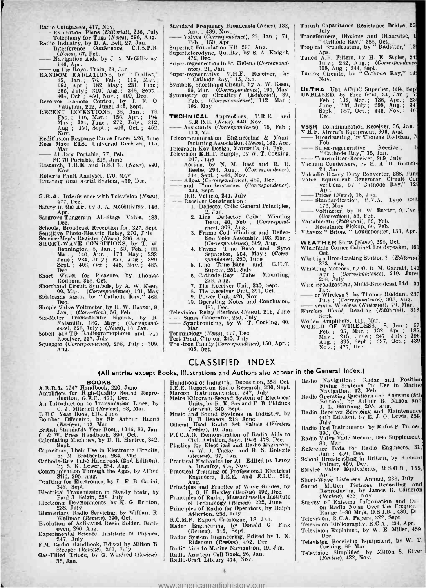- Radio Compasses, 417, Nov.<br>
Exhibition Plans (Editorial), 236, July<br>
Telephony for Tugs (News), 296, Aug.<br>
Radio Industry, by Dorfor Bell, 27, Jan.<br>
Plans Br. Radio Compasses, 417, Nov.<br>  $\frac{1}{2}$  Exhibition Plans (*Editorial*), 236, July<br>
Telephony for Tugs (*News*), 296, Aug.<br>
Radio Industry, by D. A. Bell, 27, Jan.<br>
Interference, Conference, C.I.S.P.R.<br>
(*News*), 67, Feb.
- 
- $\overline{R}$ -Elephony for Tugs (*News)*, 67, Feb. (*News)*, 67, Feb. (*News)*, 67, Feb. (*News)*, 67, Feb. (*News)*, 67, Feb. (*News)*, 67, Feb. (*News)*, 67, Feb. (*News)*, 67, Feb. (*News)*, 67, Feb. (*News)*, 67, Feb. (*Ne* Interference Conference, C.I.S.P.R.<br>(*News*), 67, Feb.<br>Navigation Aids, by J. A. McGillivray,
- 
- Example of the Registration Aids, by D. A. Determined the phenome of the particle of the particle of the state of the state of the state of the state of the state of the state of the state of the state of the state of the
- 
- -
- Rediffusion Response Curve Tracer, 226, June Rees Mace EL80 Universal Receiver, 115, May. 350, Sept., 400, Oct., 402,<br>
Rediffusion Response Curve Tracer, 226, June<br>
Mar. Mar. Research, T.R. Research, T.R. SC 70 Portable, 206, June<br>
SC 70 Portable, 206, June<br>
Research, T.R.E. and D.S.I.R. (News), 440,<br>
Nov.
	-
- 

Roberts Fault Analyser, 170, May Rotating Dual Aerial System, 459, Dec.

- S.B.A. Interference with Television (News),  $477$ , Dec.<br>Safety in the Air, by J. A. McGillivray, 146,
- Apr.<br>Sargrove-Tungsram All-Stage Valve, 483,<br>Dec.
- 
- 
- Dec.<br>Schools, Broadcast Reception for, 327, Sept.<br>Sensitive Photo-Electric Relay, 270, July<br>Service-Men's Register (News), 296, Aug.<br>SHORT-WAVE CONDITIONS, by T. W.<br>Bennington, 8, Jan.; 53, Feb.; 88,<br>Jan.; 140. Apr.; 176,
- Dec. Short Waves for Pleasure, by Thomas Roddam, 358, Oct.
- Shorthand Circuit Symbols, by A. W. Keen,<br>
99, Mar.; (*Correspondence*), 191, May<br>
Sidebands Again, by "Cathode Ray," 468,
- 
- 
- 99, Mar.; (*Correspondence*), 191, May<br>
Sidebands Again, by "Cathode Ray," 468,<br>
Dec.<br>
Simple Valve Voltmeter, by H. W. Baxter, 9,<br>
Six-Metre Transatlantic Signals, by R.<br>
Six-Metre Transatlantic Signals, by R.<br>
Naismith.
- 
- Squegger (Correspondence), 258, July ; 309,

Standard Frequency Broadcasts (News), 132, | T

- Standard Frequency Broadcasts (News), 132,<br>
Mr. ; 439, Nov.<br>
Feb. ; 150, Apr.<br>
Feb. ; 150, Apr.<br>
Superheterodyne, Quality, by S. A. Knight,<br>
Superheterodyne, Quality, by S. A. Knight,
- 
- 472, Dec.<br>Super-regeneration in St. Helena (Correspond-
- ence), 21, Jan. V.H.F. Receiver, by Super-regenerative V.H.F. Receiver, by T<br>Symbols, Shorthand Circuit, by A. W. Keen,
- 
- 99, Mar. ; (Correspondence), 191, May 1<br>Symmetry or Circuitry ? (Editorial), 39, 1<br>Feb. ; (Correspondence), 112, Mar. ;<br>192, May
- TECHNICAL Apprentices, T.R.E. and 192, May<br>
TECHNICAL Apprentices, T.R.E. and<br>
S.R.D.E. (News), 440, Nov.<br>
Assistants (Correspondence), 75, Feb. ;<br>
113, Mar.<br>
The Lindship Engineering, & Manu
- 
- Telecommunication Engineering & Manu-facturing Association (News), 133, Apr. Telegraph Key Design, Marconi's, 61 Feb. Television E.H.T. Supply, by W. T. Cocking,
- 
- resommunication<br>
facturing Associ<br>
Telegraph Key Design,<br>
Television E.H.T. Sup<br>
207, June<br>
Aerials, by N.<br>
Beebe, 293, Au Aerials, by N. M. Best and R. D. | V EURISMON B.A.1. Supply, by W. 1. COCKING,<br>  $\frac{207}{1000}$ , June<br>
Beebe, 293, Aug.; (Correspondence),<br>
344, Sept.; 448, Nov.<br>
344, Mont (Correspondence),<br>
Afloat (Correspondence),<br>
and Thunderstorms (Correspondence),
	-
- 344, Sept. : 426, Nov.<br>
-- Afloat (Correspondence), 489, Dec.<br>
-- and Thunderstorms (Correspondence),<br>
344, Sept.<br>
-- O.B. Vehicle, 241, July<br>
-- Receiver Construction :<br>
1. Deflector Coils: General Principles,
	- - -
			- 2, Jan.<br>
			2. Line Deflector Coils : Winding<br>
			Data, 40, Feb. ; (Correspond-<br>
			ence), 309, Aug.<br>
			3. Frame Coil Winding and Deflec-
			-
			- tion Yoke Assembly, 103, Mar. ;<br>(Correspondence), 309, Aug.<br>4. Frame Time Base and Sync Separator, 164, May ; (Corre-
			- spondence), 220, June<br>5. Line Time-Base and E.H.T. Supply, 251, July<br>6. Cathode-Ray Tube Mounting,<br>278. Aug.
			-
			-
		- 278, Aug.<br>
		7. The Receiver Unit, 330, Sept.<br>
		8. The Receiver Unit, 391, Oct.<br>
		9. Power Unit, 420, Nov.<br>
		10. Operating Notes and Conclusion,
		-
		-
		- 481, Dec.

 $\begin{bmatrix}\n0. & \text{Power Unit, } 420, \text{Nov.}\n\end{bmatrix}$ <br>  $10. & \text{Operator Unit, } 420, \text{Nov.}\n\end{bmatrix}$ <br>  $\begin{bmatrix}\n10. & \text{Signal Genentor, } 260, \text{July}\n\end{bmatrix}$ <br>  $\begin{bmatrix}\n11. & \text{Signal Genentor, } 250, \text{ July}\n\end{bmatrix}$ <br>  $\begin{bmatrix}\n11. & \text{Signal Genentor, } 250, \text{ July}\n\end{bmatrix}$ <br>  $\begin{bmatrix}\n11. & \text{Signelronz$ 

- 
- 
- Mar.<br>Terminology (News), 477, Dec.<br>Test Prod, Clip-on, 240, July<br>The -tron Family (Correspondence), 150, Apr. ;<br>402, Oct.

## CLASSIFIED INDEX

(All entries except Books, Illustrations and Authors also appear in the General Index.)

- BOOKS A.R.R.L. 1947 Handbook, 220, June Amplifiers for High- Quality Sound Repro- duction, G.E.C., 471, Dec.
- 
- 
- An Introduction to Transmission Lines, by<br>
B.B.C. V. J. Mitchell (Review), 83, Mar.<br>
B.B.C. Year Book, 216, June<br>
Bomber Offensive, by Sir Arthur Harris<br>
(Review), 113, Mar.<br>
Citation Standards Year Book, 1946, 19, Jan.<br>
C
- 
- 
- Sept. Their Use in Electronic Circuits, by M. Brotherton, 284, Aug.<br>
Cathode Ray Tube Handbook (2nd Edition), by S. K. Lewer, 284, Aug.<br>
Communication Through the Ages. by Alfred P1
- Still, 295, Aug.<br>Drafting for Electronics, by L. F. B. Carini,
- 
- 342, Sept.<br>
Electrical Transmission in Steady State, by Paul J. Selgin, 238, July Press, Britton, Personal Developments, by K. G. Britton,
- 
- Elementary Radio Servicing, by William R. Wellman (Review), 390, Oct.<br>
Evolution of Activated Resin Solder, Enth-<br>
Evolution of Activated Resin Solder, Enth-<br>
Experimental Science, Institute of Physics,
- 
- 
- P.M. Radio Handbook, Edited by Milton B.<br>
Sleeper (*Review*), 260, July<br>
Gas-Filled Triode, by G. Windred (*Review*), B<br>
36, Jan.
- Handbook of Industrial Deposition, 336, Oct.<br>
I.E.E. Report on Radio Research. 336, Sept.<br>
Marconi Instrumentation, 247, July<br>
Metre-Kilogram-Second System of Electrical<br>
Units, by R. K. Sas and F. B. Pidduck<br>
(Repieuo). Radio Navigation: Radar and Position<br>Fixing Systems for Use in Marine<br>Navigation, 42, Feb.<br>Radio Operating Questions and Answers (8th<br>Edition), by Atthur R. Nilson and<br>J. L. Horning, 295, Aug.<br>Radio Receiver Servicing and
- 
- 
- 
- P.I.C.A.O. Demonstration of Radio Aids to<br>
Civil Aviation, Sept. 1946, 478, Dec.<br>
Chasties for Electrical and Radio Engineers,<br>
by W. J. Tucker and R. S. Roberts<br>
the *Review*), 37, Jan.<br>
Practical Mechanics for All, Edite
- 
- 
- Principles and Practice of Wave Guides, by So<br>
L. G. H. Huxley (Review), 492, Dec.<br>
Principles of Redinology (Review), 222, June Su
- Principles of Radio for Operators, by Ralph Atherton, 238, July
- 
- R.C.M.F. Export Catalogue, 18, Jan. Radar Engineering, by Donald G. Fink (Review), 345, Sept.
- 
- Radar System Engineering, Edited by L. N.<br>
Ridenour (Review), 492, Dec.<br>
Radio Aids to Marine Navigation, 19, Jan. Radio Amateur Call Book, 26, Jan. Radio -Craft Library 414, Nov.

<www.americanradiohistory.com>

4

Thrush Capacitance Resistance Bridge, 25<br>Transformers, Obvious and Otherwise, b<br>Transformers, Obvious and Otherwise, b<br>"Cathode Ray," 388, Oct.

- 
- Tropical Broadcasting, by " Radiator," 13<br>Apr. Tuned A.F. Filters, by H. E. Styles, 24<br>July ; 282, Aug. ; (Correspondence
- 308, Aug. ; 344, Sept.<br>Tuning Circuits, by " Cathode Ray," 44<br>Nov.
- ULTRA U51 AC/DC Superhet, 334, Sep UNBIASED, by Free Grid, 34, Jan.; 723<br>Feb. ; 102, Mar. ; 136, Apr. ; 23<br>June ; 208, July ; 299, Aug. ; 231<br>Sept.; 387, Oct.; 446, Nov.; 46<br>Dec.
- 
- V56R Communication Receiver, 36, Jan. V.H.F. Aircraft Equipment, 306, Aug.<br>
Frontaction Robidson, 7the Broadcasting, by Thomas Roddam, 7the Feb.<br>
-- Super-regenerative Receiver, b<br>
"Cathode Ruy," 15, Jan. - T. Aristal Equipment, 2007, Aug.<br>
Front Broadcasting, by Thomas Roddam, 70<br>
- Super-regenerative Receiver, b<br>
- "Cathode Ray," 15, Jan.<br>
- Transmitter-Receiver, 269, July<br>
Vacuum Condensers, by H. A. H. Griffith
- Super-regenerative Receiver, b
- 
- 
- 23, Jan. Valve Converter, 228, June Valve Equivalent Generator, Circuit Conventions, by "Cathode Ray," 124<br>
Valve Equivalent Generator, Circuit Conventions, by "Cathode Ray," 124<br>
 Prices (News), 18, Jan.<br>
 Bandardizatio
- Standardization, B.V.A. Type B8A Aprications, by Catholic Easy, 124<br>
- Prices (*News*), 18, Jan.<br>
- Standardization, B.V.A. Type B8A<br>
- Voltmeter, by H. W. Baxte<sup>-</sup>, 9, Jan.<br>
(*Correction*), 56, Feb.<br>
- Voltmeter, by H. W. Baxte<sup>-</sup>, 9, Jan.

Variable 176, May<br>  $\longrightarrow$  Voltmeter, by H. W. Baxte-, 9,<br>
Variable Mu (*Editorial*), 39, Feb.<br>
Variable Mu (*Editorial*), 39, Feb.<br>
Vitavox <sup>2</sup> Bitone <sup>P</sup>ickup, 66, Feb.<br>
Vitavox <sup>2</sup> Bitone <sup>1</sup> Loudspeaker, 153, **Value Bistance Pickup, 66, Feb.**<br>Vitavox " Bitone " Loudspeaker, 153, Apr.

WEATHER Ships (News), 398, Oct. Wharfdale Corner Cabinet Loudspeaker, 36 Oct.

Sept.<br>Woden Amplifiers, 111, Mar.

What is a Broadcasting Station ? (Editorial)<br>
273, Aug.<br>
Whistling Meteors, by G. R. M. Garratt, 141<br>
Apr. ; (Correspondence), 219, June

258, July 258, July 258, July 258, July 258, July 258, July 1, Correspondence), 319, July 3, Correspondence, 308, Aug. Wire Broadcasting, Multi-Broadcast Ltd., 31<br>Jan.<br>or Wireless ? by Thomas Roddam, 236<br>July ; (Correspondance), 308, Aug.<br>versus Wireless (Editorial), 79. Mar.<br>Wireless World, Reading (Editorial), 313

WORLD OF WIRELESS, 18, Jan.; 67<br>
Feb. ; 95, Mar.; 132, Apr.; 187<br>
May ; 215, June ; 247, July ; 296<br>
Aug.; 335, Sept. ; 397, Oct. ; 439<br>
Nov.; 477, Dec.

Radio Test Instruments, by Rufus P. Turner,

Apr. Apr. Short-Wave Listeners' Annual, 238, July

manic 300, Oct.<br>
Radio Valve Vade Mecum, 1947 Supplement,<br>
Reference Data for Radio Engineers, 31,<br>
Sehool Broadcasting in Britain, by Richard<br>
School Broadcasting in Britain, by Richard<br>
Service Valve Equivalents, R.S.G.B

Sound Motion Pictures Recording and Reproducing, by James R. Cameron (Review), 422, Nov.<br>
Survey of Existing Information and D.<br>
on Radio Noise Over the Frequence<br>
on Radio Noise Over the Frequence<br>
Range 1-30 Mc/s, D.S.I.

Television, R.C.A. Papers, 322, Sept. Television Bibliography, R.C.A., 134, Apr. Television Explained, by W. E. Miller, 459 Dec. Television Receiving Equipment, by W. T. Cocking, 89, Mar. Television Simplified, by Milton S. River (Review), 422, Nov.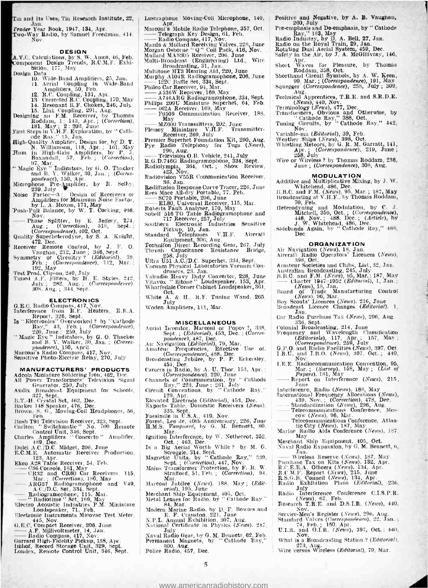Tin and Its Uses, Tin Research Institute, 22, Jan.

Jan. Trader Year Book, 1947, 134, Apr. Two -Way Radio, by Samuel Freedman. 414, Nov.

**DESIGN**<br> **A.V.C.** Calculations, by S. W. Amos, 46, Feb. Momponent Design Trends, R.C.M.F. Exhi-<br>
bition, 177, May

- Design Data : 10, Wide-Band Amplifiers, 25, Jan. 11, Aerial Coupling in Wide-Band  $\frac{M}{m}$ 
	-
	- -
		-
- 
- 
- 
- Amplifiers, 50, Feb. (2011)<br>
12. R.C. Coupling, 131, Apr. 170, May 131 (Credit R.C. Coupling, 170, May 14. Research R.C. Coupling, 217, May 15. Link Coupling, 291, May 162, The Research R.C. (Correction), 181, May 12 : 203
- " Magic Eye " Indicators, by G. O. Thacker  $\begin{array}{c|c} \text{Haar} & \text{B} \\ \text{and B. Y. Walker, 30, Jan. ; } \text{(Conres-)} \\ \end{array}$
- pondence), 150, Apr.<br>Microphone Pre-Amplifier, by R. Selby,<br>239, July
- Noise Factor --3: Design of Receivers or  $\overline{R}$ <br>Noise Factor Amplifiers for Minimum Noise Factor,
- by L. A. Moxon, 171, May<br>Push-Pull Balance, by W. T. Cocking, 408,
- Nov.<br>
Phase Splitter, by E. Jeffery, 274,<br>
Aug.; (Correction), 318, Sept. ;<br>
(Correspondence), 402, Oct.
- Quality Superheterodyne, by S. A. Knight, 472, Dec.
- Receiver Remote Control, by J. F. O. 4<br>Vaughan, 212, June; 346, Sept. 3<br>Symmetry or Circuitry ? (Editorial), 39,
- 

Feb. ; (Correspondence), 112, Mar. ; 192, May Test Prod, Clip-on, 240, July Tuned A.F. Filters, by H. E. Styles, 242,  $V$ <br>Tuned A.F. Filters, by H. E. Styles, 242,  $V$ <br>July ; 282, Aug. ; 344, Sept. (Correspondence). W

- **ELECTRON ICS**<br>G.E.C. Radio Compass, 417, Nov.<br>Interference from R.F. Heaters, E.R.A. W
- Report, 326, Sept.<br>
Is "Electronics" Overworked? by "Cathode Ray," 43, Feb. ; (Correspondence), Action is 220, July 10:<br>
220, July ex : 259, July 9, O. Thacker
- 
- 
- and B. Y. Walker, 30, Jan. ; (Corres-<br>pondence), 150, April<br>Marconi's Radio Compass, 417, Nov.<br>Sensitive Photo-Electric Relay, 270, July

- MANUFACTURERS' PRODUCTS<br>
Adcola Miniature Soldering Iron, 462, Dec.<br>
All Power Transformers' Television Signal<br>
Generator. 250, July<br>
Audix Broadcast Equipment for Schools. 61
- 
- 
- 
- 327, Sept. 1826, Head, Dec. (1972)<br>Barker 148 Speaker, 476, Dec. (1976)<br>Brown, S. G., Moving Coil Headphones, 56, Feb. (1976)
- 
- Fen. Fen. Television Receiver, 323, Sept.<br>Carlton " Switchmatic " No, 700 Remote<br>Control Unit, 346, Sept.<br>Charles Amplifiers " Concerto " Amplifier,
- 
- 
- 
- 
- 
- 
- 
- 
- Charles Ampliflers : Concert<br>Charles Ampliflers : Concerto " Amplifler, 189, Dec.<br>
189, Dec. (2016).<br>
E.C.M.E. Automatic Receiver Production, 123, Apr.<br>
2.62. Altonatic Receiver Production, 123, Apr.<br>
236 Console, 181, May
- Loudspeaker, 14, Feb.<br>
Electronic Instruments Micovac Test 3<br>
G.E.C. Compact Receiver, 206, June<br>
 A.F. Millivoltmeter, 14, Jan.<br>
 R.F. Millivoltmeter, 14, Nov.<br>
Garrard High-Fidelity Fickup, 138, Apr.<br>
Garrard High-Fide
- 
- 
- 
- 
- Garrard High-Fidelity Pickup, 138, Apr. Imhof, Record Storage Unit, 329, Sept. Londex, Remote Control Unit, 346, Sept.

Lustraphone Moving-Coil Microphone, 140,

Positive and Negative, by A. B. Vaughan, 260, July Pre-emphasis and De- emphasis, by " Cathode

Radio Industry, by D. A. Bell, 27, Jan.<br>Radio on the Royal Train, 29, Jan.<br>Rotating Dual Aerial System, 459, Dec.<br>Safety in the Air, by J. A. McGillivray, 146,

Apr. Apr. Short May Thomas Roddam, 358, Oct.<br>
Shorthand Circuit Symbols, by A. W. Keen,<br>
Shorthand Circuit Symbols, by A. W. Keen,<br>
99, Mar. ; (Correspondence), 258, July ; 309,<br>
Squegger (Correspondence), 258, July ; 309,

Nug. (News), 440, Nov.<br>
Terminology (News), 477, Dec.<br>
Transformers, Obvious and Otherwise, by Cathode Ray," 388, Oct.<br>
Tuning Circuits, by Cathode Ray," 442, Nov.<br>
Nov.

Variable-mu (*Editorial*), 39, Feb.<br>Weather Ships (*News*), 398, Oct.<br>Whistling Meteors, by G. R. M. Garratt, 141,

Apr. ; (Correspondence), 219, June ;<br>
258, July<br>
Wire or Wireless ? by Thomas Roddam, 236,<br>
June ; (Correspondence), 308, Aug.

70, Feb. and Modulation, by C. J.<br>Heterodyning and Modulation, by C. J.<br>
Mitchell, 359, Oct.; (*Correspondence*),<br>
448, Nov.; 488, Dec.; (*Article*), by<br>
J. W. Whitehead, 486, Dec.<br>
Sidebands Again, by "Cathode Ray," 468,<br>

Aircraft Radio Operators' Licences (News),<br>
398, Oct.<br>
2080, Oct.<br>
Amateur Societies and Clubs, List, 32, Jan.<br>
Amateur Societies and Clubs, List, 32, Jan.<br>
B.B.C. and F.M. (News), 35, Mar.; 187, May<br>
Charter 1947–1952 (Ed

 $\begin{array}{ll} 336, \text{ Sept.} \\ \text{Colonial Broadcasting, 214, June} \\ \text{Frequencies} & \text{and} & \text{Wavelength} \end{array} \begin{array}{ll} \text{Classification} \\ \text{Caditorials, 117, Apr.; 157, May;} \\ \text{Correspondence, 259, July} \\ \text{G.P.O. and Radio Feilities (Nexus), 397, Oct.} \\ \text{I.B.U. and I.B.O. (Nexus), 397, Oct.; 440, \\ \end{array}$ 

Nov. LE,E. Radiocommunication Convention, 95, Mar. ; (Survey), 158, May ; (List of 1.B.O. and T.B.O. (19928), 181, Oct. 1, 440,<br>
I.E.E. Radiocommunication Convention, 95,<br>
May Report on Interference (News), 215,<br>
Report on Interference (News), 215,<br>
Nune news), 182, May 182, May<br>
June news), 182, May

June<br>Interference, Radio (*News*), 188, May<br>International Frequency Allocations (*News*),

439, Nov. ; (Correction), 478, Dec.<br>
- Standardization (News), 296, Aug.<br>
- Telecommunications Conference, Mos-<br>
cow (News), 96, Mar. - -- Telecommunications Conference, Atlantic City (News), 187, May<br>Marine Radio Aids Conference (News), 187, May Merchant Ship Equipment, 405, Oct. Naval Radio Expansion, by G. M. Bennett, 6,

May Paris Reserve (News), 187, May Purchase Tax on Kits (News), 137, May Purchase Tax on Kits (News), 134, Apr. B.(C.E.E.A. Officers (News), 134, Apr. B.C.M.F. Report (News), 134, Apr.

Radio Exhibition Plans (Editorial), 236,<br>
Radio Interference Conference C.I.S.P.R.<br>
(News), 67, Feb.<br>
Research T.R.E. and D.S.I.R. (News), 440,<br>
Nov.

Nov. What is a Broadcasting Station ? (Editorial), 273, Aug.<br>Wire versus Wireless (Editorial), 79, Mar.

Service-Men's Register (News), 296, Aug.<br>Standard Valves (Correspondence), 22, Jan. ;<br>74, Feb. ; 150, Apr.<br>U.I.R. and O.I.R. (News), 397, Oct. ; 440,

Groundse Jan.<br>Car Radio Purchase Tax (News), 296, Aug.<br>336. Sept.

MODULATION Additive and Multiplicative Mixing, by J. W. Whitehead, 486, Dec. B.B.C. and F.M. (News), 95, Mar.; 187, May Broadcasting at V.H.F., by Thomas Roddam,

**ORGANIZATION**<br>Air Navigation (News), 18, Jan.

- Lustraphone' Moving-Coil Microphone, 140,<br>
Marconi's Mobile Radio Telephone, 357, Oct.<br>
Telegraph Key Design, 61, Feb.<br>
Telegraph Key Design, 61, Feb.<br>
Telegraph Key Design, 61, Feb.<br>
Telegraph Key Design, 61, Feb.<br>
Teleg
- 
- 
- Marconi & Mobie Radio Yelephone, 397, Oct.<br>
Telegraph Key Design, 61, Peb.<br>
Mazda & Mullard Receiving Valves, 228, June<br>
Mazda & Mullard Receiving Valves, 228, June<br>
Margan Osborne "Q" Coil Pack, 416, Nov.<br>
Mullard MAS305
- 
- 
- 
- 
- 
- Phileo Car Receiver, 94, Mar.<br>
A536W Receiver, 169, May<br>
A746ARG Radiogramophone, 334, Sept.<br>
Philips 209U Miniature Superhet, 64, Feb.<br>
 462A Receiver, 169, May<br>
 F0509 Communication Receiver, 188, T<br>
May Communication
- F0509 Communication Receiver, 188,<br>May May Transmitters, 202, June<br>MZ600 Transmitters, 202, June<br>ey Miniature V.H.F. Transmitter-
- 
- Plessey Miniature V.H.F. Transmitter-<br>
Receiver, 269, July<br>
Premier Superhet Foundation Kit, 290, Aug.<br>
Pye Radio Telephony for Tugs (News), V Receiver, 296, Aug.<br>
Premier Superhet Foundation Kit, 290, Aug.<br>
Pye Radio Telephony for Tugs (News),<br>
296, Aug.<br>
Receivesion O.B. Vehicle, 241, July<br>
R.G.D.746G Radiogramophone, 334, Sept.<br>
Radiolynpia, 364, Oct. ; Show R
	-
- 
- Radiovision V55R Communication Receiver, 36, Jan.
- Radiovision V55R Communication Receiver,<br>
Rediffusion Response Curve Tracer, 226, June<br>
Rees Mace All-dry Portable, 77, Feb.<br>
Rees Mace All-dry Portable, 2010, June<br>
ELSO, Universal Receiver, 115, Mar.<br>
Relection Fall Chal
- 
- 
- 
- 
- 
- Pickup, 10, Jan.<br>
Standard Telephones V.H.F. Aircraft<br>
Equipment, 306, Aug.<br>
Technifon Direct Recording Gear, 267, July<br>
Thrush Capacitance Resistance Bridge, A
- 
- 
- 258, July 18, C./D.C. Superhet. 334, Sept. Ultra U51 A.C./D.C. Superhet. 334, Sept. Caccom Physical Laboratories Vaenum Conditionary Duty Converter, 228, June Bilton Harve Chinage B. (1916). The Wilton Converter, 153, Apr.
- Oct. & H., R.F. Tuning Wand, 265.
- 

- **MISCELLANEOUS**<br>Aerial Inventor, Marconi or Popov ?, 338, (Sept.; (Editorial), 453, Dec.; (Corres-1
- 
- pondence), 487, Dec. (Air Navigation (Editorial), 79, Mar.<br>Amateur Frequencies, Effective Use of , Goorrespondence), 488. Dec.<br>Broadcasting Jubilee, by P. P. Eckersley, , ,
- 454, Dec. (Correspondence), 220, June (Correspondence), 220, June (Correspondence), 220, June ; 201, Channels of Communication, by " Cathode [23], July Circuit Conventions, by " Cathode Ray," [1]
- 
- 
- 
- 129, Apr. († 1897)<br>139, Elevated Electrode (*Editorial*), 453, Dec. († 1899)<br>139, Exports Table, Domestic Receivers (*News*), † 189
- 
- 335, Sept.<br>Facsimile in U.S.A., 419, Nov.<br>Forest, Lee de, 40th Anniversary, 226, June –<br>H.M.S. *Vanguard*, by G. M. Bennett, 80,
- 
- 
- 
- Mar. (1997)<br>
Marion Interference, by W. Nethelroot, 352,<br>
Is a Big Aerial Worth While ? by M. G.<br>
Is a Big Aerial Worth While ? by M. G.<br>
Scroggie, 314, Sept.<br>
Magnetic Units. by Cathole Ray," 339,<br>
Nains Transformer Prote
- Marconi Jubilee (News), 188, May; (Editorial), 195, June

Modern Marine Radio, by D. F. Bowers and<br>
E. F. Cranston, 221, June<br>
N.P.L. Annual Exhibition, 307, Aug.<br>
National Certificate in Physics (News), 247,<br>
Naval Radio Gear, by G. M. Bennett, 62, Feb.<br>
Naval Radio Gear, by G.

Permanent Magnets, by "Cathode Ray," W.<br>
300. Aug.<br>
Police Radio, 457, Dec.

<www.americanradiohistory.com>

5

Merchant Ship Equipment, 405, Oct.<br>Metal Lenses for Radio, by "Cathode Ray."

84, Mar.